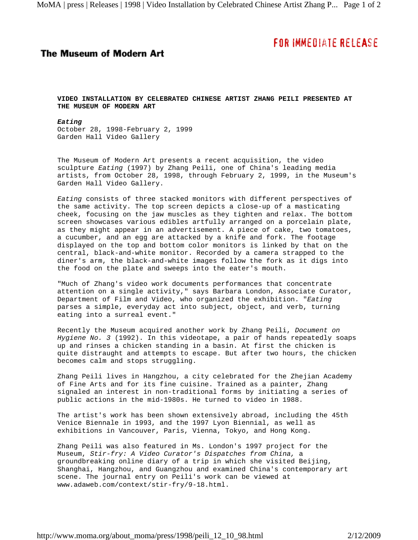## **FOR IMMEDIATE RELEASE**

## **The Museum of Modern Art**

**VIDEO INSTALLATION BY CELEBRATED CHINESE ARTIST ZHANG PEILI PRESENTED AT THE MUSEUM OF MODERN ART**

*Eating* October 28, 1998-February 2, 1999 Garden Hall Video Gallery

The Museum of Modern Art presents a recent acquisition, the video sculpture *Eating* (1997) by Zhang Peili, one of China's leading media artists, from October 28, 1998, through February 2, 1999, in the Museum's Garden Hall Video Gallery.

*Eating* consists of three stacked monitors with different perspectives of the same activity. The top screen depicts a close-up of a masticating cheek, focusing on the jaw muscles as they tighten and relax. The bottom screen showcases various edibles artfully arranged on a porcelain plate, as they might appear in an advertisement. A piece of cake, two tomatoes, a cucumber, and an egg are attacked by a knife and fork. The footage displayed on the top and bottom color monitors is linked by that on the central, black-and-white monitor. Recorded by a camera strapped to the diner's arm, the black-and-white images follow the fork as it digs into the food on the plate and sweeps into the eater's mouth.

"Much of Zhang's video work documents performances that concentrate attention on a single activity," says Barbara London, Associate Curator, Department of Film and Video, who organized the exhibition. "*Eating* parses a simple, everyday act into subject, object, and verb, turning eating into a surreal event."

Recently the Museum acquired another work by Zhang Peili, *Document on Hygiene No. 3* (1992). In this videotape, a pair of hands repeatedly soaps up and rinses a chicken standing in a basin. At first the chicken is quite distraught and attempts to escape. But after two hours, the chicken becomes calm and stops struggling.

Zhang Peili lives in Hangzhou, a city celebrated for the Zhejian Academy of Fine Arts and for its fine cuisine. Trained as a painter, Zhang signaled an interest in non-traditional forms by initiating a series of public actions in the mid-1980s. He turned to video in 1988.

The artist's work has been shown extensively abroad, including the 45th Venice Biennale in 1993, and the 1997 Lyon Biennial, as well as exhibitions in Vancouver, Paris, Vienna, Tokyo, and Hong Kong.

Zhang Peili was also featured in Ms. London's 1997 project for the Museum, *Stir-fry: A Video Curator's Dispatches from China,* a groundbreaking online diary of a trip in which she visited Beijing, Shanghai, Hangzhou, and Guangzhou and examined China's contemporary art scene. The journal entry on Peili's work can be viewed at www.adaweb.com/context/stir-fry/9-18.html.